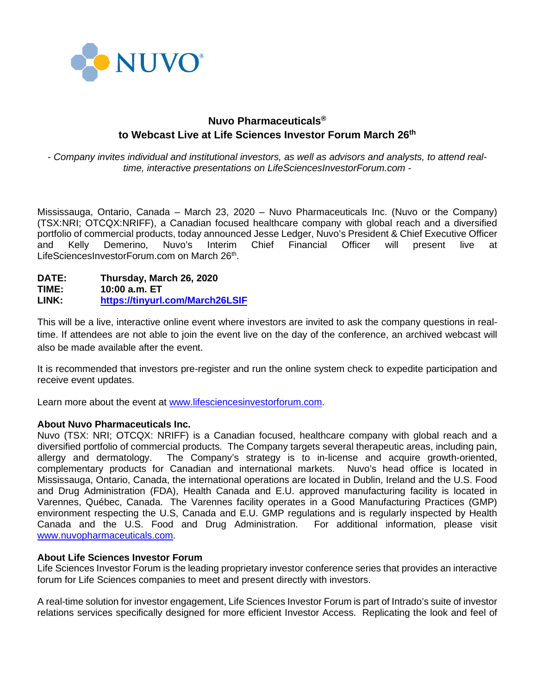

# **Nuvo Pharmaceuticals® to Webcast Live at Life Sciences Investor Forum March 26th**

*- Company invites individual and institutional investors, as well as advisors and analysts, to attend realtime, interactive presentations on LifeSciencesInvestorForum.com -*

Mississauga, Ontario, Canada – March 23, 2020 – Nuvo Pharmaceuticals Inc. (Nuvo or the Company) (TSX:NRI; OTCQX:NRIFF), a Canadian focused healthcare company with global reach and a diversified portfolio of commercial products, today announced Jesse Ledger, Nuvo's President & Chief Executive Officer and Kelly Demerino, Nuvo's Interim Chief Financial Officer will present live at LifeSciencesInvestorForum.com on March 26<sup>th</sup>.

**DATE: Thursday, March 26, 2020 TIME: 10:00 a.m. ET LINK: <https://tinyurl.com/March26LSIF>**

This will be a live, interactive online event where investors are invited to ask the company questions in realtime. If attendees are not able to join the event live on the day of the conference, an archived webcast will also be made available after the event.

It is recommended that investors pre-register and run the online system check to expedite participation and receive event updates.

Learn more about the event at [www.lifesciencesinvestorforum.com.](http://www.lifesciencesinvestorforum.com/)

## **About Nuvo Pharmaceuticals Inc.**

Nuvo (TSX: NRI; OTCQX: NRIFF) is a Canadian focused, healthcare company with global reach and a diversified portfolio of commercial products. The Company targets several therapeutic areas, including pain, allergy and dermatology. The Company's strategy is to in-license and acquire growth-oriented, The Company's strategy is to in-license and acquire growth-oriented, complementary products for Canadian and international markets. Nuvo's head office is located in Mississauga, Ontario, Canada, the international operations are located in Dublin, Ireland and the U.S. Food and Drug Administration (FDA), Health Canada and E.U. approved manufacturing facility is located in Varennes, Québec, Canada. The Varennes facility operates in a Good Manufacturing Practices (GMP) environment respecting the U.S, Canada and E.U. GMP regulations and is regularly inspected by Health Canada and the U.S. Food and Drug Administration. For additional information, please visit [www.nuvopharmaceuticals.com.](http://www.nuvopharmaceuticals.com/)

#### **About Life Sciences Investor Forum**

Life Sciences Investor Forum is the leading proprietary investor conference series that provides an interactive forum for Life Sciences companies to meet and present directly with investors.

A real-time solution for investor engagement, Life Sciences Investor Forum is part of Intrado's suite of investor relations services specifically designed for more efficient Investor Access. Replicating the look and feel of